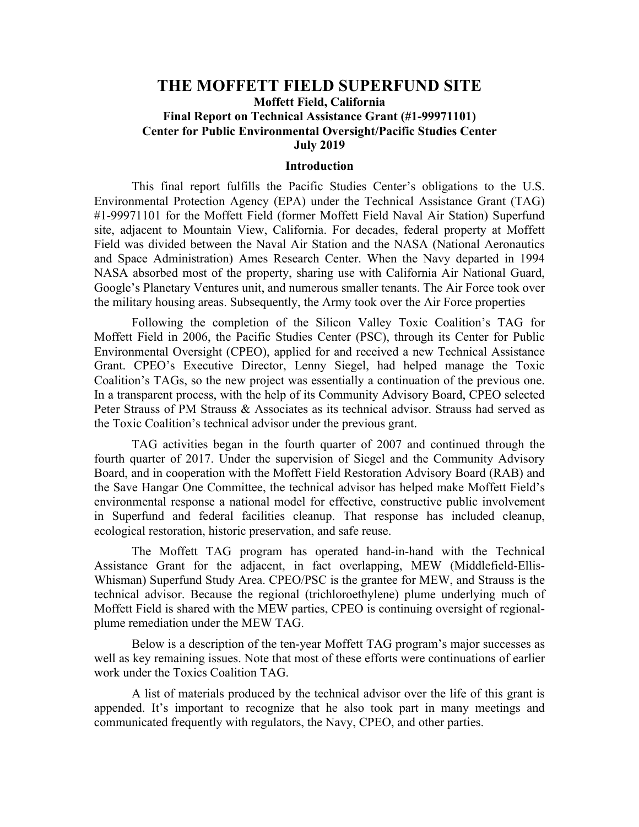#### **THE MOFFETT FIELD SUPERFUND SITE Moffett Field, California Final Report on Technical Assistance Grant (#1-99971101) Center for Public Environmental Oversight/Pacific Studies Center July 2019**

#### **Introduction**

This final report fulfills the Pacific Studies Center's obligations to the U.S. Environmental Protection Agency (EPA) under the Technical Assistance Grant (TAG) #1-99971101 for the Moffett Field (former Moffett Field Naval Air Station) Superfund site, adjacent to Mountain View, California. For decades, federal property at Moffett Field was divided between the Naval Air Station and the NASA (National Aeronautics and Space Administration) Ames Research Center. When the Navy departed in 1994 NASA absorbed most of the property, sharing use with California Air National Guard, Google's Planetary Ventures unit, and numerous smaller tenants. The Air Force took over the military housing areas. Subsequently, the Army took over the Air Force properties

Following the completion of the Silicon Valley Toxic Coalition's TAG for Moffett Field in 2006, the Pacific Studies Center (PSC), through its Center for Public Environmental Oversight (CPEO), applied for and received a new Technical Assistance Grant. CPEO's Executive Director, Lenny Siegel, had helped manage the Toxic Coalition's TAGs, so the new project was essentially a continuation of the previous one. In a transparent process, with the help of its Community Advisory Board, CPEO selected Peter Strauss of PM Strauss & Associates as its technical advisor. Strauss had served as the Toxic Coalition's technical advisor under the previous grant.

TAG activities began in the fourth quarter of 2007 and continued through the fourth quarter of 2017. Under the supervision of Siegel and the Community Advisory Board, and in cooperation with the Moffett Field Restoration Advisory Board (RAB) and the Save Hangar One Committee, the technical advisor has helped make Moffett Field's environmental response a national model for effective, constructive public involvement in Superfund and federal facilities cleanup. That response has included cleanup, ecological restoration, historic preservation, and safe reuse.

The Moffett TAG program has operated hand-in-hand with the Technical Assistance Grant for the adjacent, in fact overlapping, MEW (Middlefield-Ellis-Whisman) Superfund Study Area. CPEO/PSC is the grantee for MEW, and Strauss is the technical advisor. Because the regional (trichloroethylene) plume underlying much of Moffett Field is shared with the MEW parties, CPEO is continuing oversight of regionalplume remediation under the MEW TAG.

Below is a description of the ten-year Moffett TAG program's major successes as well as key remaining issues. Note that most of these efforts were continuations of earlier work under the Toxics Coalition TAG.

A list of materials produced by the technical advisor over the life of this grant is appended. It's important to recognize that he also took part in many meetings and communicated frequently with regulators, the Navy, CPEO, and other parties.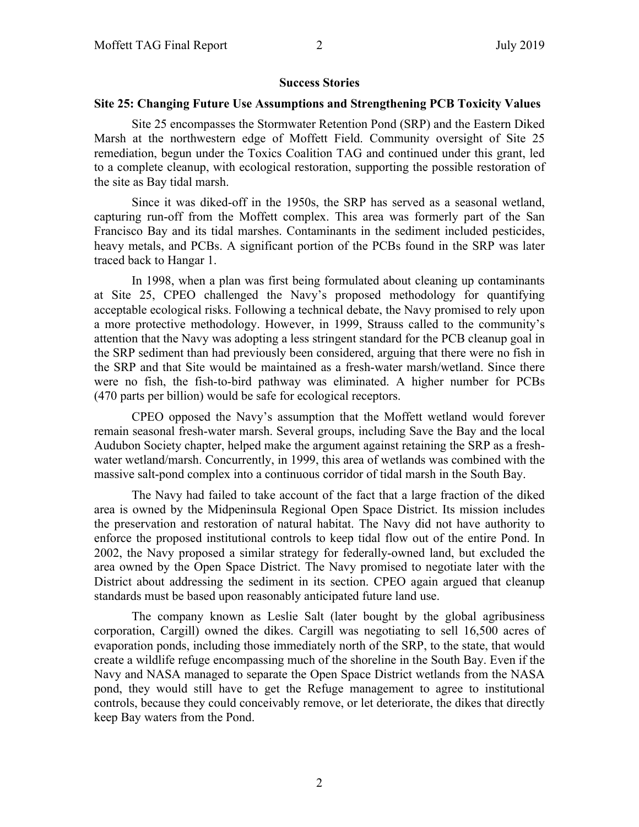#### **Success Stories**

#### **Site 25: Changing Future Use Assumptions and Strengthening PCB Toxicity Values**

Site 25 encompasses the Stormwater Retention Pond (SRP) and the Eastern Diked Marsh at the northwestern edge of Moffett Field. Community oversight of Site 25 remediation, begun under the Toxics Coalition TAG and continued under this grant, led to a complete cleanup, with ecological restoration, supporting the possible restoration of the site as Bay tidal marsh.

Since it was diked-off in the 1950s, the SRP has served as a seasonal wetland, capturing run-off from the Moffett complex. This area was formerly part of the San Francisco Bay and its tidal marshes. Contaminants in the sediment included pesticides, heavy metals, and PCBs. A significant portion of the PCBs found in the SRP was later traced back to Hangar 1.

In 1998, when a plan was first being formulated about cleaning up contaminants at Site 25, CPEO challenged the Navy's proposed methodology for quantifying acceptable ecological risks. Following a technical debate, the Navy promised to rely upon a more protective methodology. However, in 1999, Strauss called to the community's attention that the Navy was adopting a less stringent standard for the PCB cleanup goal in the SRP sediment than had previously been considered, arguing that there were no fish in the SRP and that Site would be maintained as a fresh-water marsh/wetland. Since there were no fish, the fish-to-bird pathway was eliminated. A higher number for PCBs (470 parts per billion) would be safe for ecological receptors.

CPEO opposed the Navy's assumption that the Moffett wetland would forever remain seasonal fresh-water marsh. Several groups, including Save the Bay and the local Audubon Society chapter, helped make the argument against retaining the SRP as a freshwater wetland/marsh. Concurrently, in 1999, this area of wetlands was combined with the massive salt-pond complex into a continuous corridor of tidal marsh in the South Bay.

The Navy had failed to take account of the fact that a large fraction of the diked area is owned by the Midpeninsula Regional Open Space District. Its mission includes the preservation and restoration of natural habitat. The Navy did not have authority to enforce the proposed institutional controls to keep tidal flow out of the entire Pond. In 2002, the Navy proposed a similar strategy for federally-owned land, but excluded the area owned by the Open Space District. The Navy promised to negotiate later with the District about addressing the sediment in its section. CPEO again argued that cleanup standards must be based upon reasonably anticipated future land use.

The company known as Leslie Salt (later bought by the global agribusiness corporation, Cargill) owned the dikes. Cargill was negotiating to sell 16,500 acres of evaporation ponds, including those immediately north of the SRP, to the state, that would create a wildlife refuge encompassing much of the shoreline in the South Bay. Even if the Navy and NASA managed to separate the Open Space District wetlands from the NASA pond, they would still have to get the Refuge management to agree to institutional controls, because they could conceivably remove, or let deteriorate, the dikes that directly keep Bay waters from the Pond.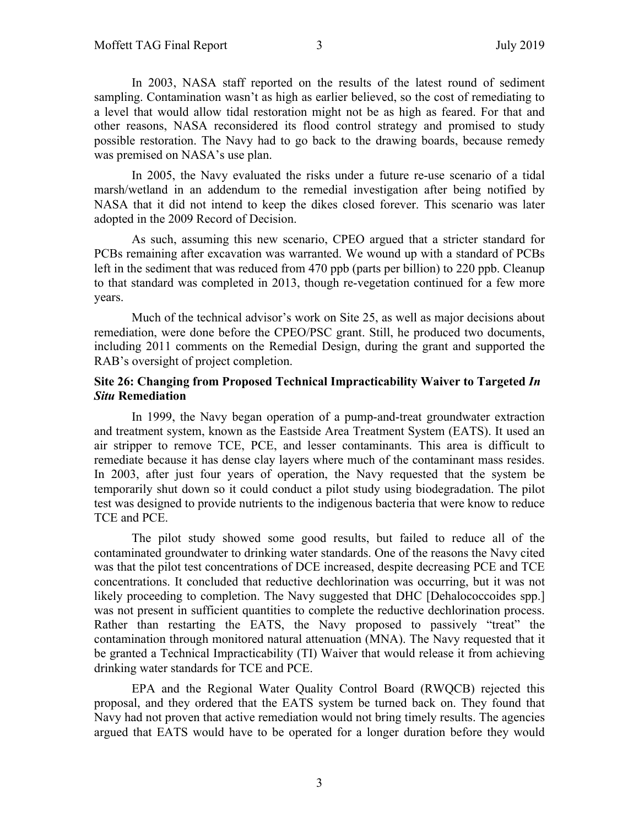In 2003, NASA staff reported on the results of the latest round of sediment sampling. Contamination wasn't as high as earlier believed, so the cost of remediating to a level that would allow tidal restoration might not be as high as feared. For that and other reasons, NASA reconsidered its flood control strategy and promised to study possible restoration. The Navy had to go back to the drawing boards, because remedy was premised on NASA's use plan.

In 2005, the Navy evaluated the risks under a future re-use scenario of a tidal marsh/wetland in an addendum to the remedial investigation after being notified by NASA that it did not intend to keep the dikes closed forever. This scenario was later adopted in the 2009 Record of Decision.

As such, assuming this new scenario, CPEO argued that a stricter standard for PCBs remaining after excavation was warranted. We wound up with a standard of PCBs left in the sediment that was reduced from 470 ppb (parts per billion) to 220 ppb. Cleanup to that standard was completed in 2013, though re-vegetation continued for a few more years.

Much of the technical advisor's work on Site 25, as well as major decisions about remediation, were done before the CPEO/PSC grant. Still, he produced two documents, including 2011 comments on the Remedial Design, during the grant and supported the RAB's oversight of project completion.

#### **Site 26: Changing from Proposed Technical Impracticability Waiver to Targeted** *In Situ* **Remediation**

In 1999, the Navy began operation of a pump-and-treat groundwater extraction and treatment system, known as the Eastside Area Treatment System (EATS). It used an air stripper to remove TCE, PCE, and lesser contaminants. This area is difficult to remediate because it has dense clay layers where much of the contaminant mass resides. In 2003, after just four years of operation, the Navy requested that the system be temporarily shut down so it could conduct a pilot study using biodegradation. The pilot test was designed to provide nutrients to the indigenous bacteria that were know to reduce TCE and PCE.

The pilot study showed some good results, but failed to reduce all of the contaminated groundwater to drinking water standards. One of the reasons the Navy cited was that the pilot test concentrations of DCE increased, despite decreasing PCE and TCE concentrations. It concluded that reductive dechlorination was occurring, but it was not likely proceeding to completion. The Navy suggested that DHC [Dehalococcoides spp.] was not present in sufficient quantities to complete the reductive dechlorination process. Rather than restarting the EATS, the Navy proposed to passively "treat" the contamination through monitored natural attenuation (MNA). The Navy requested that it be granted a Technical Impracticability (TI) Waiver that would release it from achieving drinking water standards for TCE and PCE.

EPA and the Regional Water Quality Control Board (RWQCB) rejected this proposal, and they ordered that the EATS system be turned back on. They found that Navy had not proven that active remediation would not bring timely results. The agencies argued that EATS would have to be operated for a longer duration before they would

3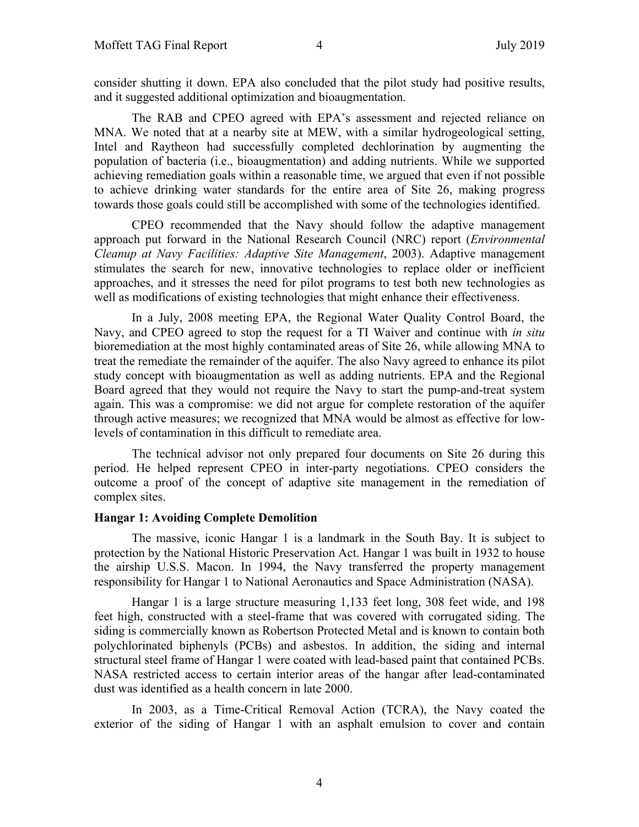consider shutting it down. EPA also concluded that the pilot study had positive results, and it suggested additional optimization and bioaugmentation.

The RAB and CPEO agreed with EPA's assessment and rejected reliance on MNA. We noted that at a nearby site at MEW, with a similar hydrogeological setting, Intel and Raytheon had successfully completed dechlorination by augmenting the population of bacteria (i.e., bioaugmentation) and adding nutrients. While we supported achieving remediation goals within a reasonable time, we argued that even if not possible to achieve drinking water standards for the entire area of Site 26, making progress towards those goals could still be accomplished with some of the technologies identified.

CPEO recommended that the Navy should follow the adaptive management approach put forward in the National Research Council (NRC) report (*Environmental Cleanup at Navy Facilities: Adaptive Site Management*, 2003). Adaptive management stimulates the search for new, innovative technologies to replace older or inefficient approaches, and it stresses the need for pilot programs to test both new technologies as well as modifications of existing technologies that might enhance their effectiveness.

In a July, 2008 meeting EPA, the Regional Water Quality Control Board, the Navy, and CPEO agreed to stop the request for a TI Waiver and continue with *in situ* bioremediation at the most highly contaminated areas of Site 26, while allowing MNA to treat the remediate the remainder of the aquifer. The also Navy agreed to enhance its pilot study concept with bioaugmentation as well as adding nutrients. EPA and the Regional Board agreed that they would not require the Navy to start the pump-and-treat system again. This was a compromise: we did not argue for complete restoration of the aquifer through active measures; we recognized that MNA would be almost as effective for lowlevels of contamination in this difficult to remediate area.

The technical advisor not only prepared four documents on Site 26 during this period. He helped represent CPEO in inter-party negotiations. CPEO considers the outcome a proof of the concept of adaptive site management in the remediation of complex sites.

#### **Hangar 1: Avoiding Complete Demolition**

The massive, iconic Hangar 1 is a landmark in the South Bay. It is subject to protection by the National Historic Preservation Act. Hangar 1 was built in 1932 to house the airship U.S.S. Macon. In 1994, the Navy transferred the property management responsibility for Hangar 1 to National Aeronautics and Space Administration (NASA).

Hangar 1 is a large structure measuring 1,133 feet long, 308 feet wide, and 198 feet high, constructed with a steel-frame that was covered with corrugated siding. The siding is commercially known as Robertson Protected Metal and is known to contain both polychlorinated biphenyls (PCBs) and asbestos. In addition, the siding and internal structural steel frame of Hangar 1 were coated with lead-based paint that contained PCBs. NASA restricted access to certain interior areas of the hangar after lead-contaminated dust was identified as a health concern in late 2000.

In 2003, as a Time-Critical Removal Action (TCRA), the Navy coated the exterior of the siding of Hangar 1 with an asphalt emulsion to cover and contain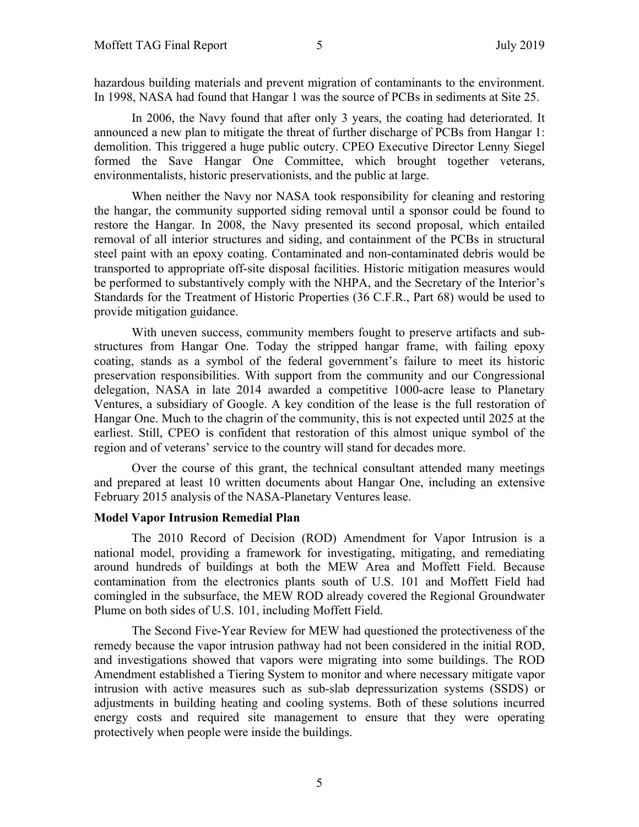hazardous building materials and prevent migration of contaminants to the environment. In 1998, NASA had found that Hangar 1 was the source of PCBs in sediments at Site 25.

In 2006, the Navy found that after only 3 years, the coating had deteriorated. It announced a new plan to mitigate the threat of further discharge of PCBs from Hangar 1: demolition. This triggered a huge public outcry. CPEO Executive Director Lenny Siegel formed the Save Hangar One Committee, which brought together veterans, environmentalists, historic preservationists, and the public at large.

When neither the Navy nor NASA took responsibility for cleaning and restoring the hangar, the community supported siding removal until a sponsor could be found to restore the Hangar. In 2008, the Navy presented its second proposal, which entailed removal of all interior structures and siding, and containment of the PCBs in structural steel paint with an epoxy coating. Contaminated and non-contaminated debris would be transported to appropriate off-site disposal facilities. Historic mitigation measures would be performed to substantively comply with the NHPA, and the Secretary of the Interior's Standards for the Treatment of Historic Properties (36 C.F.R., Part 68) would be used to provide mitigation guidance.

With uneven success, community members fought to preserve artifacts and substructures from Hangar One. Today the stripped hangar frame, with failing epoxy coating, stands as a symbol of the federal government's failure to meet its historic preservation responsibilities. With support from the community and our Congressional delegation, NASA in late 2014 awarded a competitive 1000-acre lease to Planetary Ventures, a subsidiary of Google. A key condition of the lease is the full restoration of Hangar One. Much to the chagrin of the community, this is not expected until 2025 at the earliest. Still, CPEO is confident that restoration of this almost unique symbol of the region and of veterans' service to the country will stand for decades more.

Over the course of this grant, the technical consultant attended many meetings and prepared at least 10 written documents about Hangar One, including an extensive February 2015 analysis of the NASA-Planetary Ventures lease.

#### **Model Vapor Intrusion Remedial Plan**

The 2010 Record of Decision (ROD) Amendment for Vapor Intrusion is a national model, providing a framework for investigating, mitigating, and remediating around hundreds of buildings at both the MEW Area and Moffett Field. Because contamination from the electronics plants south of U.S. 101 and Moffett Field had comingled in the subsurface, the MEW ROD already covered the Regional Groundwater Plume on both sides of U.S. 101, including Moffett Field.

The Second Five-Year Review for MEW had questioned the protectiveness of the remedy because the vapor intrusion pathway had not been considered in the initial ROD, and investigations showed that vapors were migrating into some buildings. The ROD Amendment established a Tiering System to monitor and where necessary mitigate vapor intrusion with active measures such as sub-slab depressurization systems (SSDS) or adjustments in building heating and cooling systems. Both of these solutions incurred energy costs and required site management to ensure that they were operating protectively when people were inside the buildings.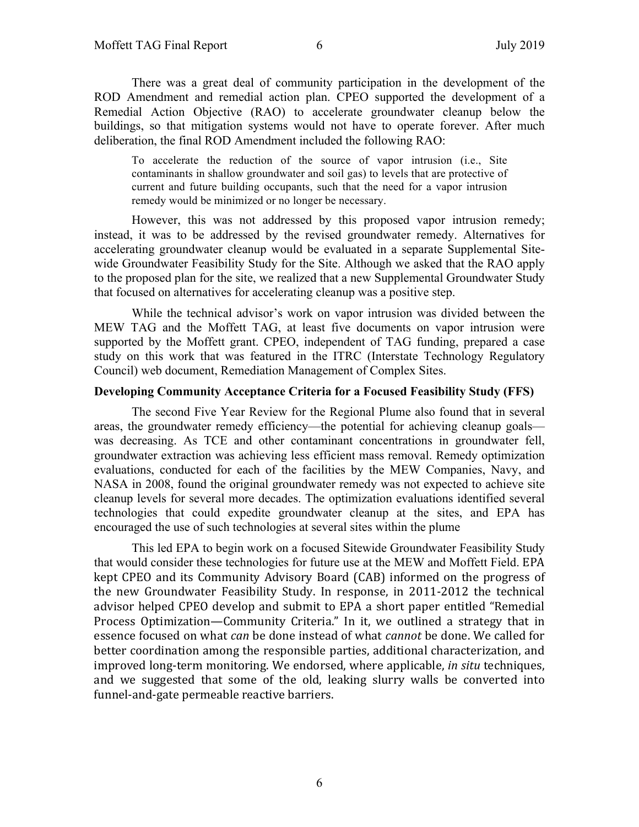There was a great deal of community participation in the development of the ROD Amendment and remedial action plan. CPEO supported the development of a Remedial Action Objective (RAO) to accelerate groundwater cleanup below the buildings, so that mitigation systems would not have to operate forever. After much deliberation, the final ROD Amendment included the following RAO:

To accelerate the reduction of the source of vapor intrusion (i.e., Site contaminants in shallow groundwater and soil gas) to levels that are protective of current and future building occupants, such that the need for a vapor intrusion remedy would be minimized or no longer be necessary.

However, this was not addressed by this proposed vapor intrusion remedy; instead, it was to be addressed by the revised groundwater remedy. Alternatives for accelerating groundwater cleanup would be evaluated in a separate Supplemental Sitewide Groundwater Feasibility Study for the Site. Although we asked that the RAO apply to the proposed plan for the site, we realized that a new Supplemental Groundwater Study that focused on alternatives for accelerating cleanup was a positive step.

While the technical advisor's work on vapor intrusion was divided between the MEW TAG and the Moffett TAG, at least five documents on vapor intrusion were supported by the Moffett grant. CPEO, independent of TAG funding, prepared a case study on this work that was featured in the ITRC (Interstate Technology Regulatory Council) web document, Remediation Management of Complex Sites.

#### **Developing Community Acceptance Criteria for a Focused Feasibility Study (FFS)**

The second Five Year Review for the Regional Plume also found that in several areas, the groundwater remedy efficiency—the potential for achieving cleanup goals was decreasing. As TCE and other contaminant concentrations in groundwater fell, groundwater extraction was achieving less efficient mass removal. Remedy optimization evaluations, conducted for each of the facilities by the MEW Companies, Navy, and NASA in 2008, found the original groundwater remedy was not expected to achieve site cleanup levels for several more decades. The optimization evaluations identified several technologies that could expedite groundwater cleanup at the sites, and EPA has encouraged the use of such technologies at several sites within the plume

This led EPA to begin work on a focused Sitewide Groundwater Feasibility Study that would consider these technologies for future use at the MEW and Moffett Field. EPA kept CPEO and its Community Advisory Board (CAB) informed on the progress of the new Groundwater Feasibility Study. In response, in 2011-2012 the technical advisor helped CPEO develop and submit to EPA a short paper entitled "Remedial Process Optimization—Community Criteria." In it, we outlined a strategy that in essence focused on what *can* be done instead of what *cannot* be done. We called for better coordination among the responsible parties, additional characterization, and improved long-term monitoring. We endorsed, where applicable, *in situ* techniques, and we suggested that some of the old, leaking slurry walls be converted into funnel-and-gate permeable reactive barriers.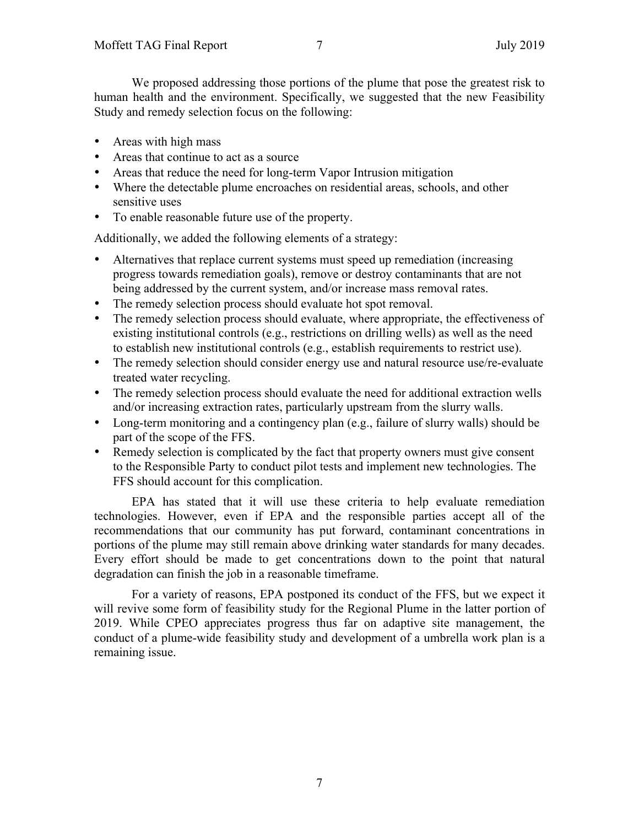We proposed addressing those portions of the plume that pose the greatest risk to human health and the environment. Specifically, we suggested that the new Feasibility Study and remedy selection focus on the following:

- Areas with high mass
- Areas that continue to act as a source
- Areas that reduce the need for long-term Vapor Intrusion mitigation
- Where the detectable plume encroaches on residential areas, schools, and other sensitive uses
- To enable reasonable future use of the property.

Additionally, we added the following elements of a strategy:

- Alternatives that replace current systems must speed up remediation (increasing progress towards remediation goals), remove or destroy contaminants that are not being addressed by the current system, and/or increase mass removal rates.
- The remedy selection process should evaluate hot spot removal.
- The remedy selection process should evaluate, where appropriate, the effectiveness of existing institutional controls (e.g., restrictions on drilling wells) as well as the need to establish new institutional controls (e.g., establish requirements to restrict use).
- The remedy selection should consider energy use and natural resource use/re-evaluate treated water recycling.
- The remedy selection process should evaluate the need for additional extraction wells and/or increasing extraction rates, particularly upstream from the slurry walls.
- Long-term monitoring and a contingency plan (e.g., failure of slurry walls) should be part of the scope of the FFS.
- Remedy selection is complicated by the fact that property owners must give consent to the Responsible Party to conduct pilot tests and implement new technologies. The FFS should account for this complication.

EPA has stated that it will use these criteria to help evaluate remediation technologies. However, even if EPA and the responsible parties accept all of the recommendations that our community has put forward, contaminant concentrations in portions of the plume may still remain above drinking water standards for many decades. Every effort should be made to get concentrations down to the point that natural degradation can finish the job in a reasonable timeframe.

For a variety of reasons, EPA postponed its conduct of the FFS, but we expect it will revive some form of feasibility study for the Regional Plume in the latter portion of 2019. While CPEO appreciates progress thus far on adaptive site management, the conduct of a plume-wide feasibility study and development of a umbrella work plan is a remaining issue.

7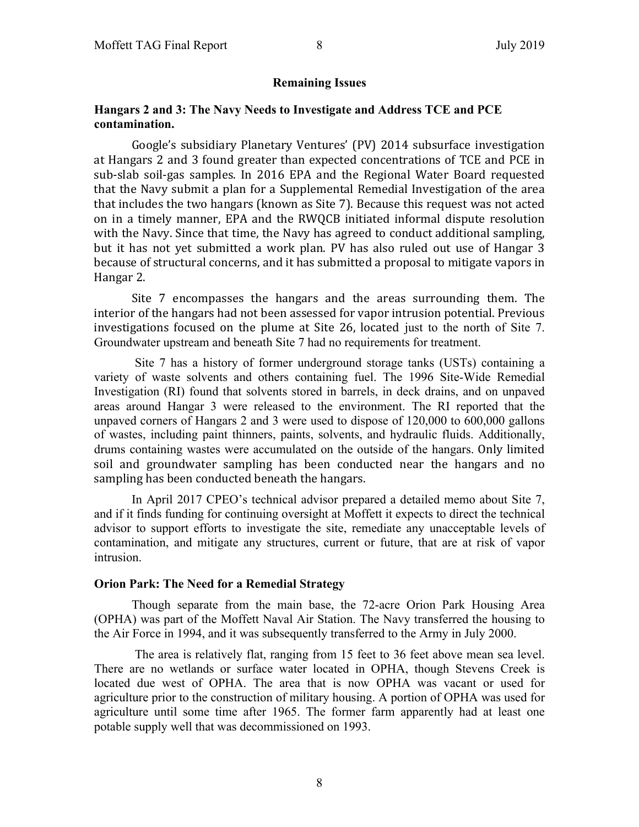#### **Remaining Issues**

#### **Hangars 2 and 3: The Navy Needs to Investigate and Address TCE and PCE contamination.**

Google's subsidiary Planetary Ventures' (PV) 2014 subsurface investigation at Hangars 2 and 3 found greater than expected concentrations of TCE and PCE in sub-slab soil-gas samples. In 2016 EPA and the Regional Water Board requested that the Navy submit a plan for a Supplemental Remedial Investigation of the area that includes the two hangars (known as Site 7). Because this request was not acted on in a timely manner, EPA and the RWQCB initiated informal dispute resolution with the Navy. Since that time, the Navy has agreed to conduct additional sampling, but it has not vet submitted a work plan. PV has also ruled out use of Hangar 3 because of structural concerns, and it has submitted a proposal to mitigate vapors in Hangar 2.

Site 7 encompasses the hangars and the areas surrounding them. The interior of the hangars had not been assessed for vapor intrusion potential. Previous investigations focused on the plume at Site 26, located just to the north of Site 7. Groundwater upstream and beneath Site 7 had no requirements for treatment.

Site 7 has a history of former underground storage tanks (USTs) containing a variety of waste solvents and others containing fuel. The 1996 Site-Wide Remedial Investigation (RI) found that solvents stored in barrels, in deck drains, and on unpaved areas around Hangar 3 were released to the environment. The RI reported that the unpaved corners of Hangars 2 and 3 were used to dispose of 120,000 to 600,000 gallons of wastes, including paint thinners, paints, solvents, and hydraulic fluids. Additionally, drums containing wastes were accumulated on the outside of the hangars. Only limited soil and groundwater sampling has been conducted near the hangars and no sampling has been conducted beneath the hangars.

In April 2017 CPEO's technical advisor prepared a detailed memo about Site 7, and if it finds funding for continuing oversight at Moffett it expects to direct the technical advisor to support efforts to investigate the site, remediate any unacceptable levels of contamination, and mitigate any structures, current or future, that are at risk of vapor intrusion.

#### **Orion Park: The Need for a Remedial Strategy**

Though separate from the main base, the 72-acre Orion Park Housing Area (OPHA) was part of the Moffett Naval Air Station. The Navy transferred the housing to the Air Force in 1994, and it was subsequently transferred to the Army in July 2000.

The area is relatively flat, ranging from 15 feet to 36 feet above mean sea level. There are no wetlands or surface water located in OPHA, though Stevens Creek is located due west of OPHA. The area that is now OPHA was vacant or used for agriculture prior to the construction of military housing. A portion of OPHA was used for agriculture until some time after 1965. The former farm apparently had at least one potable supply well that was decommissioned on 1993.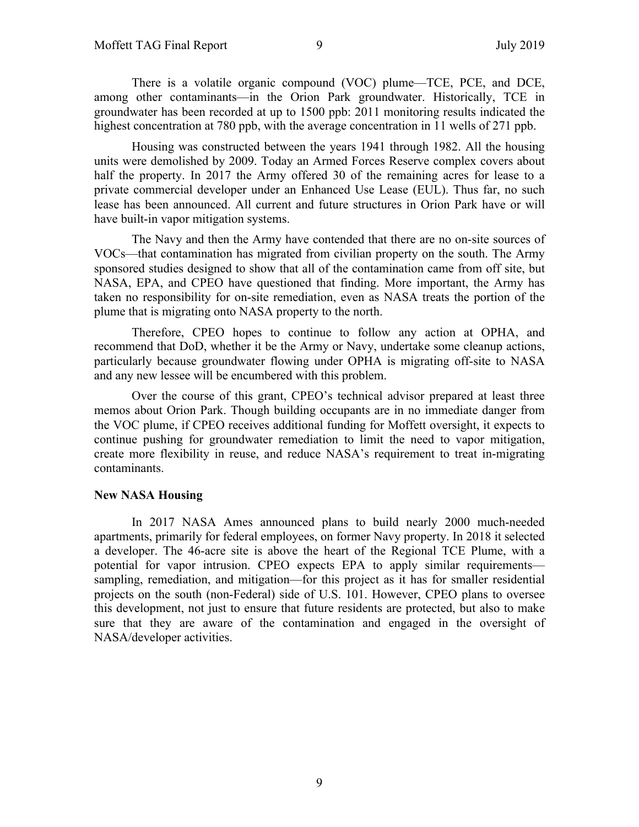There is a volatile organic compound (VOC) plume—TCE, PCE, and DCE, among other contaminants—in the Orion Park groundwater. Historically, TCE in groundwater has been recorded at up to 1500 ppb: 2011 monitoring results indicated the highest concentration at 780 ppb, with the average concentration in 11 wells of 271 ppb.

Housing was constructed between the years 1941 through 1982. All the housing units were demolished by 2009. Today an Armed Forces Reserve complex covers about half the property. In 2017 the Army offered 30 of the remaining acres for lease to a private commercial developer under an Enhanced Use Lease (EUL). Thus far, no such lease has been announced. All current and future structures in Orion Park have or will have built-in vapor mitigation systems.

The Navy and then the Army have contended that there are no on-site sources of VOCs—that contamination has migrated from civilian property on the south. The Army sponsored studies designed to show that all of the contamination came from off site, but NASA, EPA, and CPEO have questioned that finding. More important, the Army has taken no responsibility for on-site remediation, even as NASA treats the portion of the plume that is migrating onto NASA property to the north.

Therefore, CPEO hopes to continue to follow any action at OPHA, and recommend that DoD, whether it be the Army or Navy, undertake some cleanup actions, particularly because groundwater flowing under OPHA is migrating off-site to NASA and any new lessee will be encumbered with this problem.

Over the course of this grant, CPEO's technical advisor prepared at least three memos about Orion Park. Though building occupants are in no immediate danger from the VOC plume, if CPEO receives additional funding for Moffett oversight, it expects to continue pushing for groundwater remediation to limit the need to vapor mitigation, create more flexibility in reuse, and reduce NASA's requirement to treat in-migrating contaminants.

#### **New NASA Housing**

In 2017 NASA Ames announced plans to build nearly 2000 much-needed apartments, primarily for federal employees, on former Navy property. In 2018 it selected a developer. The 46-acre site is above the heart of the Regional TCE Plume, with a potential for vapor intrusion. CPEO expects EPA to apply similar requirements sampling, remediation, and mitigation—for this project as it has for smaller residential projects on the south (non-Federal) side of U.S. 101. However, CPEO plans to oversee this development, not just to ensure that future residents are protected, but also to make sure that they are aware of the contamination and engaged in the oversight of NASA/developer activities.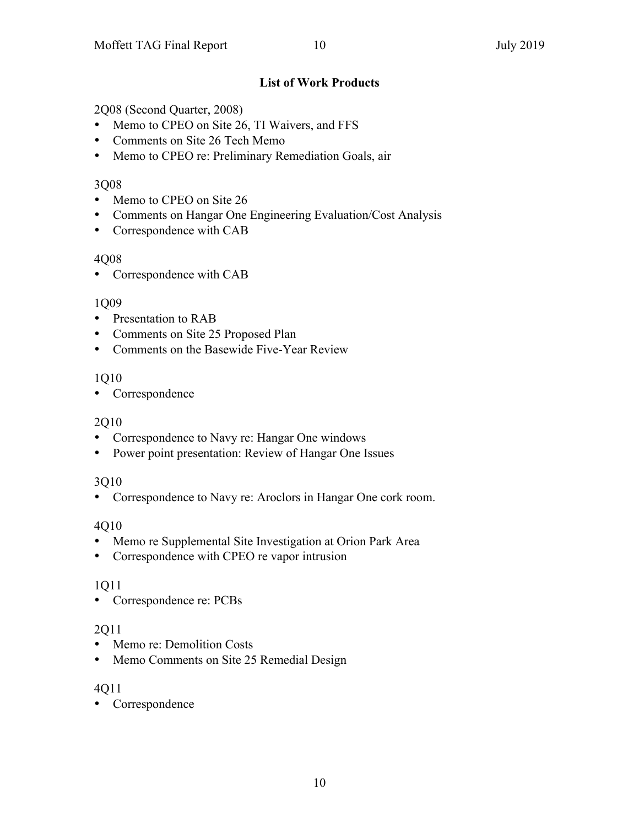#### **List of Work Products**

2Q08 (Second Quarter, 2008)

- Memo to CPEO on Site 26, TI Waivers, and FFS
- Comments on Site 26 Tech Memo
- Memo to CPEO re: Preliminary Remediation Goals, air

#### 3Q08

- Memo to CPEO on Site 26
- Comments on Hangar One Engineering Evaluation/Cost Analysis
- Correspondence with CAB

#### 4Q08

• Correspondence with CAB

#### 1Q09

- Presentation to RAB
- Comments on Site 25 Proposed Plan
- Comments on the Basewide Five-Year Review

## 1Q10

• Correspondence

## 2Q10

- Correspondence to Navy re: Hangar One windows
- Power point presentation: Review of Hangar One Issues

## 3Q10

• Correspondence to Navy re: Aroclors in Hangar One cork room.

## 4Q10

- Memo re Supplemental Site Investigation at Orion Park Area
- Correspondence with CPEO re vapor intrusion

## 1Q11

• Correspondence re: PCBs

## 2Q11

- Memo re: Demolition Costs
- Memo Comments on Site 25 Remedial Design

## 4Q11

• Correspondence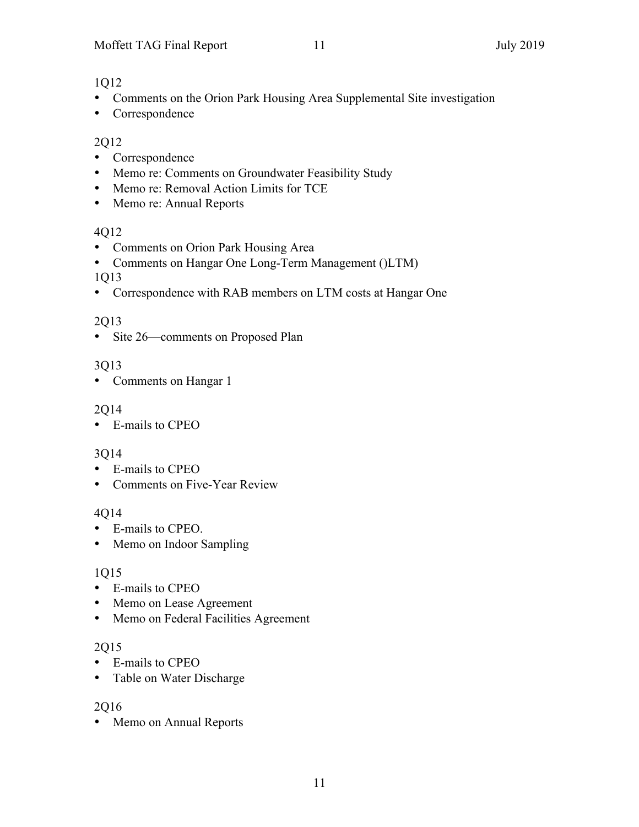#### 1Q12

- Comments on the Orion Park Housing Area Supplemental Site investigation
- Correspondence

## 2Q12

- Correspondence
- Memo re: Comments on Groundwater Feasibility Study
- Memo re: Removal Action Limits for TCE
- Memo re: Annual Reports

#### 4Q12

- Comments on Orion Park Housing Area
- Comments on Hangar One Long-Term Management ()LTM)

#### 1Q13

• Correspondence with RAB members on LTM costs at Hangar One

## 2Q13

• Site 26—comments on Proposed Plan

## 3Q13

• Comments on Hangar 1

## 2Q14

• E-mails to CPEO

## 3Q14

- E-mails to CPEO
- Comments on Five-Year Review

## 4Q14

- E-mails to CPEO.
- Memo on Indoor Sampling

## 1Q15

- E-mails to CPEO
- Memo on Lease Agreement
- Memo on Federal Facilities Agreement

## 2Q15

- E-mails to CPEO
- Table on Water Discharge

## 2Q16

• Memo on Annual Reports